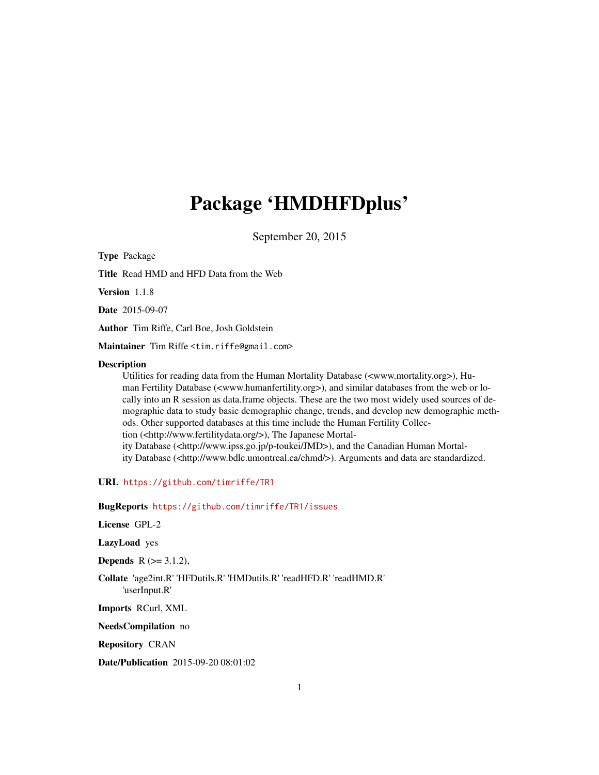# Package 'HMDHFDplus'

September 20, 2015

Type Package Title Read HMD and HFD Data from the Web Version 1.1.8 Date 2015-09-07 Author Tim Riffe, Carl Boe, Josh Goldstein Maintainer Tim Riffe <tim.riffe@gmail.com> Description Utilities for reading data from the Human Mortality Database (<www.mortality.org>), Human Fertility Database (<www.humanfertility.org>), and similar databases from the web or locally into an R session as data.frame objects. These are the two most widely used sources of demographic data to study basic demographic change, trends, and develop new demographic methods. Other supported databases at this time include the Human Fertility Collection (<http://www.fertilitydata.org/>), The Japanese Mortality Database (<http://www.ipss.go.jp/p-toukei/JMD>), and the Canadian Human Mortality Database (<http://www.bdlc.umontreal.ca/chmd/>). Arguments and data are standardized.

URL <https://github.com/timriffe/TR1>

BugReports <https://github.com/timriffe/TR1/issues>

License GPL-2

LazyLoad yes

**Depends**  $R$  ( $>= 3.1.2$ ),

Collate 'age2int.R' 'HFDutils.R' 'HMDutils.R' 'readHFD.R' 'readHMD.R' 'userInput.R'

Imports RCurl, XML

NeedsCompilation no

Repository CRAN

Date/Publication 2015-09-20 08:01:02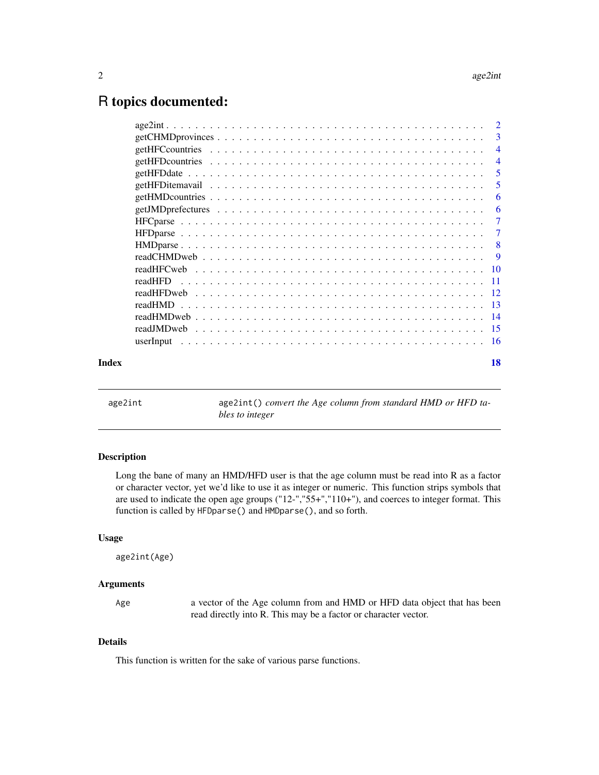## <span id="page-1-0"></span>R topics documented:

|       |           | $\overline{\phantom{a}}$  |
|-------|-----------|---------------------------|
|       |           | $\overline{4}$            |
|       |           | $\overline{4}$            |
|       |           | 5                         |
|       |           | 5                         |
|       |           | 6                         |
|       |           | 6                         |
|       |           | $\overline{7}$            |
|       |           | -7                        |
|       |           | $\overline{\phantom{0}}8$ |
|       |           |                           |
|       |           |                           |
|       | readHFD   |                           |
|       |           |                           |
|       |           |                           |
|       |           |                           |
|       |           |                           |
|       | userInput |                           |
| Index |           | 18                        |
|       |           |                           |

age2int () *convert the Age column from standard HMD or HFD tables to integer*

#### Description

Long the bane of many an HMD/HFD user is that the age column must be read into R as a factor or character vector, yet we'd like to use it as integer or numeric. This function strips symbols that are used to indicate the open age groups ("12-","55+","110+"), and coerces to integer format. This function is called by HFDparse() and HMDparse(), and so forth.

#### Usage

```
age2int(Age)
```
#### Arguments

Age a vector of the Age column from and HMD or HFD data object that has been read directly into R. This may be a factor or character vector.

### Details

This function is written for the sake of various parse functions.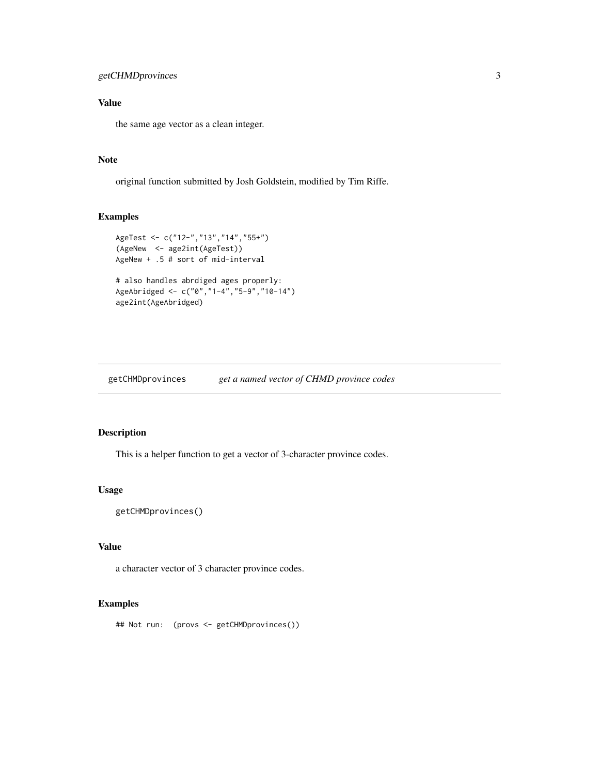### <span id="page-2-0"></span>Value

the same age vector as a clean integer.

#### Note

original function submitted by Josh Goldstein, modified by Tim Riffe.

#### Examples

```
AgeTest <- c("12-","13","14","55+")
(AgeNew <- age2int(AgeTest))
AgeNew + .5 # sort of mid-interval
# also handles abrdiged ages properly:
AgeAbridged <- c("0","1-4","5-9","10-14")
age2int(AgeAbridged)
```
getCHMDprovinces *get a named vector of CHMD province codes*

#### Description

This is a helper function to get a vector of 3-character province codes.

#### Usage

```
getCHMDprovinces()
```
#### Value

a character vector of 3 character province codes.

#### Examples

## Not run: (provs <- getCHMDprovinces())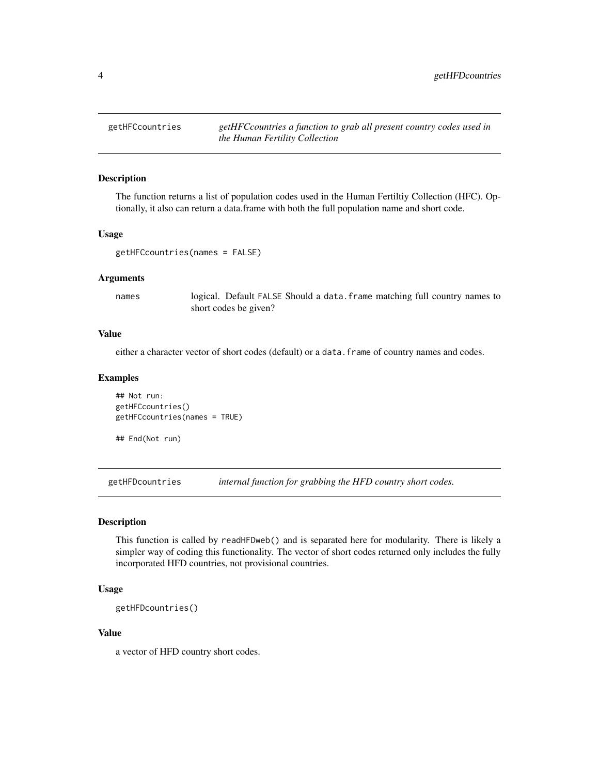<span id="page-3-0"></span>getHFCcountries *getHFCcountries a function to grab all present country codes used in the Human Fertility Collection*

#### Description

The function returns a list of population codes used in the Human Fertiltiy Collection (HFC). Optionally, it also can return a data.frame with both the full population name and short code.

#### Usage

```
getHFCcountries(names = FALSE)
```
#### Arguments

names logical. Default FALSE Should a data.frame matching full country names to short codes be given?

#### Value

either a character vector of short codes (default) or a data.frame of country names and codes.

#### Examples

```
## Not run:
getHFCcountries()
getHFCcountries(names = TRUE)
```
## End(Not run)

getHFDcountries *internal function for grabbing the HFD country short codes.*

#### Description

This function is called by readHFDweb() and is separated here for modularity. There is likely a simpler way of coding this functionality. The vector of short codes returned only includes the fully incorporated HFD countries, not provisional countries.

#### Usage

```
getHFDcountries()
```
#### Value

a vector of HFD country short codes.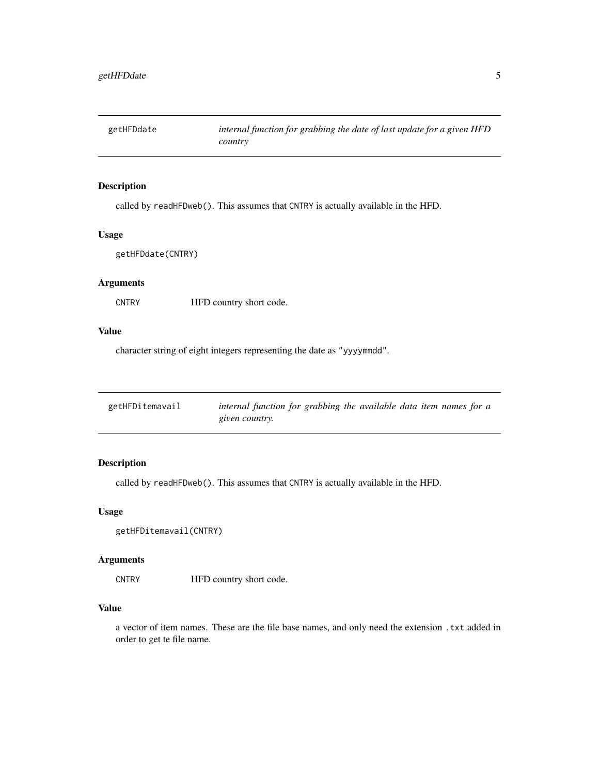<span id="page-4-0"></span>

#### Description

called by readHFDweb(). This assumes that CNTRY is actually available in the HFD.

#### Usage

```
getHFDdate(CNTRY)
```
#### Arguments

CNTRY HFD country short code.

#### Value

character string of eight integers representing the date as "yyyymmdd".

| getHFDitemavail | internal function for grabbing the available data item names for a |
|-----------------|--------------------------------------------------------------------|
|                 | given country.                                                     |

#### Description

called by readHFDweb(). This assumes that CNTRY is actually available in the HFD.

#### Usage

```
getHFDitemavail(CNTRY)
```
#### Arguments

CNTRY HFD country short code.

### Value

a vector of item names. These are the file base names, and only need the extension .txt added in order to get te file name.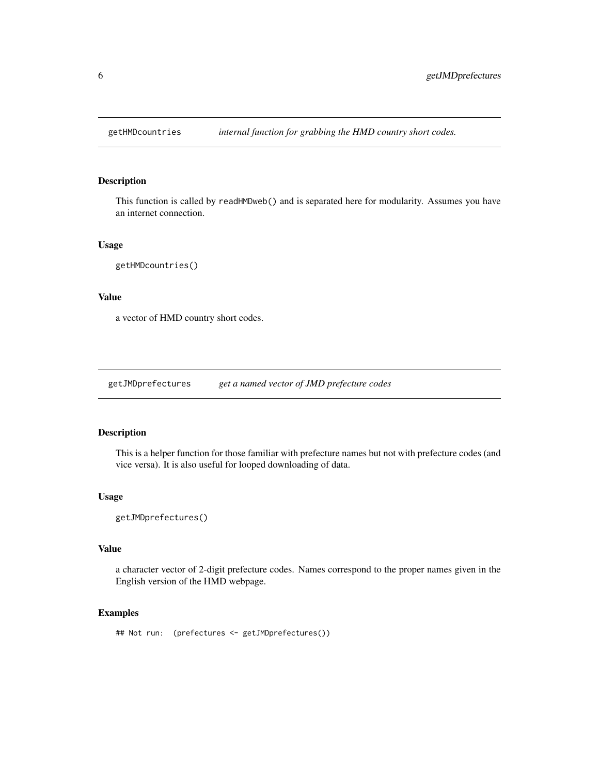<span id="page-5-0"></span>

#### Description

This function is called by readHMDweb() and is separated here for modularity. Assumes you have an internet connection.

#### Usage

```
getHMDcountries()
```
#### Value

a vector of HMD country short codes.

getJMDprefectures *get a named vector of JMD prefecture codes*

#### Description

This is a helper function for those familiar with prefecture names but not with prefecture codes (and vice versa). It is also useful for looped downloading of data.

#### Usage

```
getJMDprefectures()
```
#### Value

a character vector of 2-digit prefecture codes. Names correspond to the proper names given in the English version of the HMD webpage.

#### Examples

## Not run: (prefectures <- getJMDprefectures())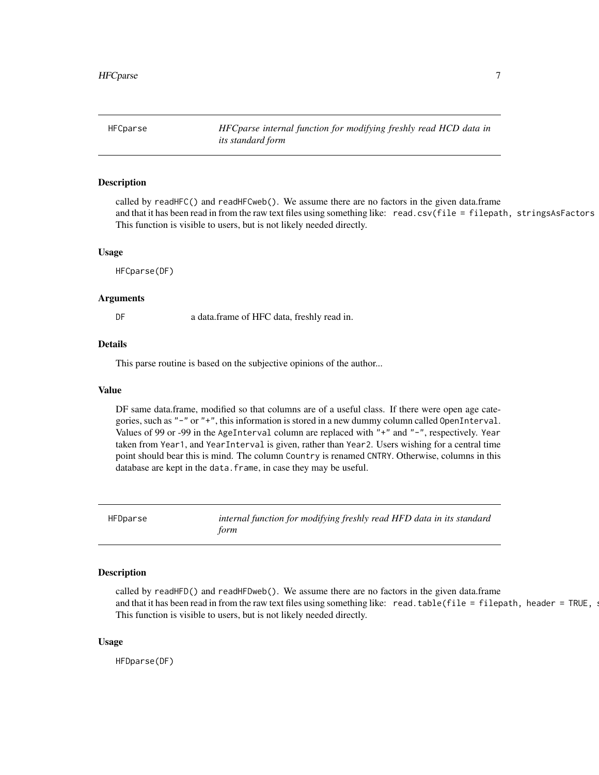<span id="page-6-0"></span>HFCparse *HFCparse internal function for modifying freshly read HCD data in its standard form*

#### Description

called by readHFC() and readHFCweb(). We assume there are no factors in the given data.frame and that it has been read in from the raw text files using something like: read.csv(file = filepath, stringsAsFactors This function is visible to users, but is not likely needed directly.

#### Usage

HFCparse(DF)

#### Arguments

DF a data.frame of HFC data, freshly read in.

#### Details

This parse routine is based on the subjective opinions of the author...

#### Value

DF same data.frame, modified so that columns are of a useful class. If there were open age categories, such as "-" or "+", this information is stored in a new dummy column called OpenInterval. Values of 99 or -99 in the AgeInterval column are replaced with "+" and "-", respectively. Year taken from Year1, and YearInterval is given, rather than Year2. Users wishing for a central time point should bear this is mind. The column Country is renamed CNTRY. Otherwise, columns in this database are kept in the data.frame, in case they may be useful.

HFDparse *internal function for modifying freshly read HFD data in its standard form*

#### **Description**

called by readHFD() and readHFDweb(). We assume there are no factors in the given data.frame and that it has been read in from the raw text files using something like: read.table(file = filepath, header = TRUE,  $\alpha$ . This function is visible to users, but is not likely needed directly.

#### Usage

HFDparse(DF)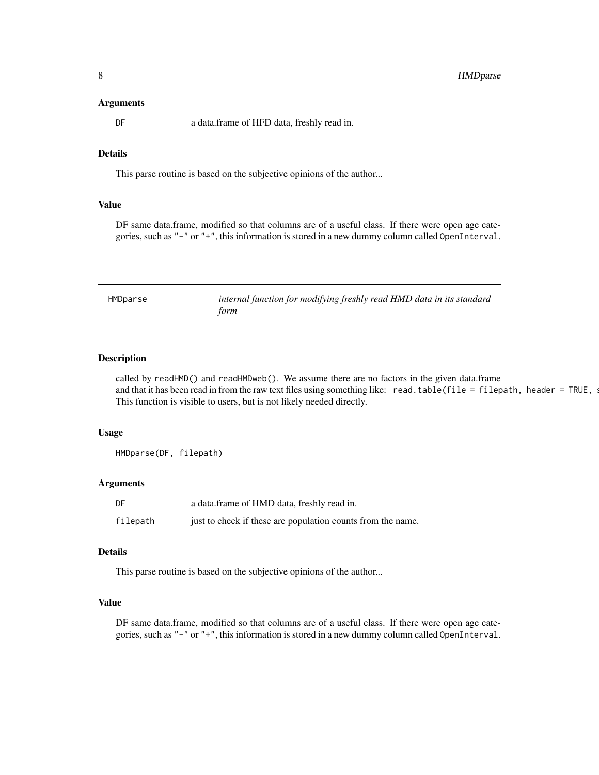#### <span id="page-7-0"></span>Arguments

DF a data.frame of HFD data, freshly read in.

#### Details

This parse routine is based on the subjective opinions of the author...

#### Value

DF same data.frame, modified so that columns are of a useful class. If there were open age categories, such as "-" or "+", this information is stored in a new dummy column called OpenInterval.

| HMDparse | internal function for modifying freshly read HMD data in its standard |
|----------|-----------------------------------------------------------------------|
|          | form                                                                  |

#### Description

called by readHMD() and readHMDweb(). We assume there are no factors in the given data.frame and that it has been read in from the raw text files using something like: read.table(file = filepath, header = TRUE,  $\alpha$ This function is visible to users, but is not likely needed directly.

#### Usage

HMDparse(DF, filepath)

#### Arguments

| DF       | a data.frame of HMD data, freshly read in.                  |
|----------|-------------------------------------------------------------|
| filepath | just to check if these are population counts from the name. |

#### Details

This parse routine is based on the subjective opinions of the author...

#### Value

DF same data.frame, modified so that columns are of a useful class. If there were open age categories, such as "-" or "+", this information is stored in a new dummy column called OpenInterval.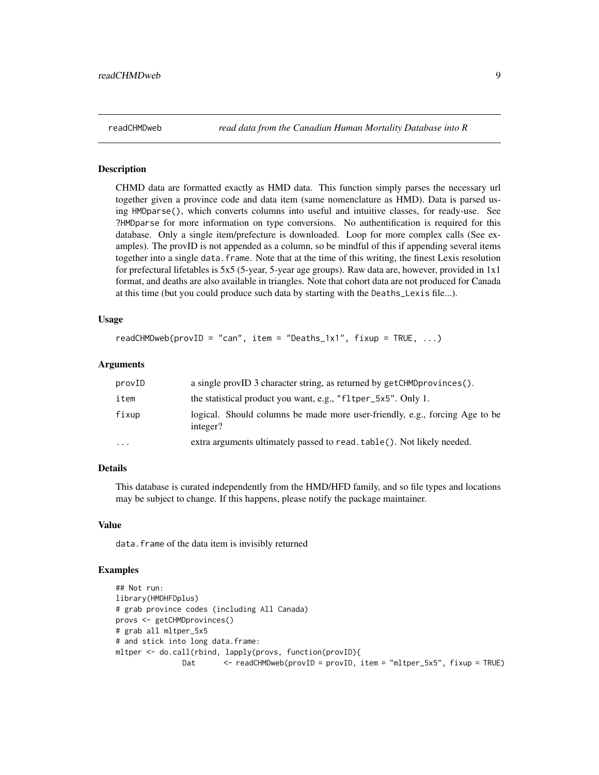<span id="page-8-0"></span>readCHMDweb *read data from the Canadian Human Mortality Database into R*

#### Description

CHMD data are formatted exactly as HMD data. This function simply parses the necessary url together given a province code and data item (same nomenclature as HMD). Data is parsed using HMDparse(), which converts columns into useful and intuitive classes, for ready-use. See ?HMDparse for more information on type conversions. No authentification is required for this database. Only a single item/prefecture is downloaded. Loop for more complex calls (See examples). The provID is not appended as a column, so be mindful of this if appending several items together into a single data.frame. Note that at the time of this writing, the finest Lexis resolution for prefectural lifetables is 5x5 (5-year, 5-year age groups). Raw data are, however, provided in 1x1 format, and deaths are also available in triangles. Note that cohort data are not produced for Canada at this time (but you could produce such data by starting with the Deaths\_Lexis file...).

#### Usage

```
readCHMDweb(proxID = "can", item = "Deaths_1x1", fixup = TRUE, ...)
```
#### Arguments

| provID    | a single provID 3 character string, as returned by getCHMDprovinces().                  |
|-----------|-----------------------------------------------------------------------------------------|
| item      | the statistical product you want, e.g., "fltper_5x5". Only 1.                           |
| fixup     | logical. Should columns be made more user-friendly, e.g., forcing Age to be<br>integer? |
| $\ddotsc$ | extra arguments ultimately passed to read. table(). Not likely needed.                  |

#### Details

This database is curated independently from the HMD/HFD family, and so file types and locations may be subject to change. If this happens, please notify the package maintainer.

#### Value

data.frame of the data item is invisibly returned

#### Examples

```
## Not run:
library(HMDHFDplus)
# grab province codes (including All Canada)
provs <- getCHMDprovinces()
# grab all mltper_5x5
# and stick into long data.frame:
mltper <- do.call(rbind, lapply(provs, function(provID){
               Dat <- readCHMDweb(provID = provID, item = "mltper_5x5", fixup = TRUE)
```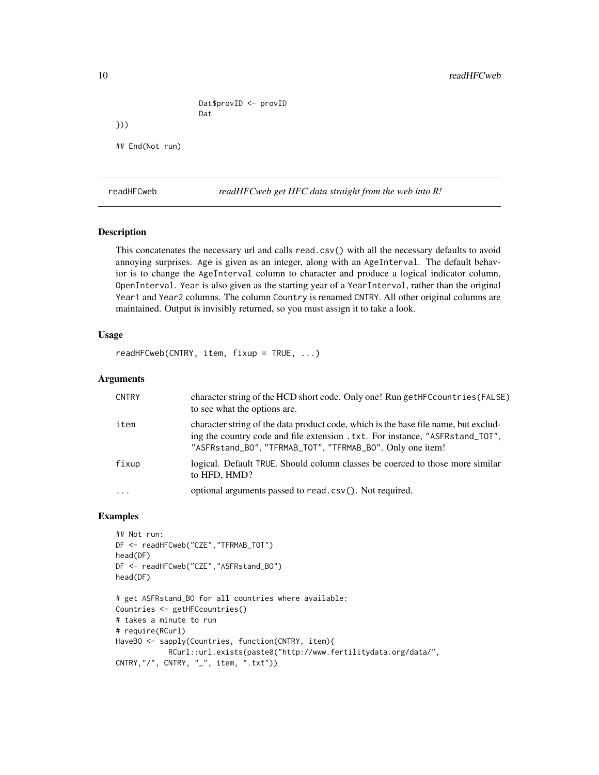Dat\$provID <- provID Dat

## End(Not run)

readHFCweb *readHFCweb get HFC data straight from the web into R!*

#### Description

<span id="page-9-0"></span>}))

This concatenates the necessary url and calls read.csv() with all the necessary defaults to avoid annoying surprises. Age is given as an integer, along with an AgeInterval. The default behavior is to change the AgeInterval column to character and produce a logical indicator column, OpenInterval. Year is also given as the starting year of a YearInterval, rather than the original Year1 and Year2 columns. The column Country is renamed CNTRY. All other original columns are maintained. Output is invisibly returned, so you must assign it to take a look.

#### Usage

readHFCweb(CNTRY, item, fixup = TRUE, ...)

#### Arguments

| <b>CNTRY</b> | character string of the HCD short code. Only one! Run getHFC countries (FALSE)<br>to see what the options are.                                                                                                                    |
|--------------|-----------------------------------------------------------------------------------------------------------------------------------------------------------------------------------------------------------------------------------|
| item         | character string of the data product code, which is the base file name, but exclud-<br>ing the country code and file extension . txt. For instance, "ASFRstand_TOT",<br>"ASFRstand_BO", "TFRMAB_TOT", "TFRMAB_BO". Only one item! |
| fixup        | logical. Default TRUE. Should column classes be coerced to those more similar<br>to HFD, HMD?                                                                                                                                     |
| $\cdots$     | optional arguments passed to read.csv(). Not required.                                                                                                                                                                            |

#### Examples

```
## Not run:
DF <- readHFCweb("CZE","TFRMAB_TOT")
head(DF)
DF <- readHFCweb("CZE","ASFRstand_BO")
head(DF)
# get ASFRstand_BO for all countries where available:
Countries <- getHFCcountries()
# takes a minute to run
# require(RCurl)
HaveBO <- sapply(Countries, function(CNTRY, item){
            RCurl::url.exists(paste0("http://www.fertilitydata.org/data/",
CNTRY,"/", CNTRY, "_", item, ".txt"))
```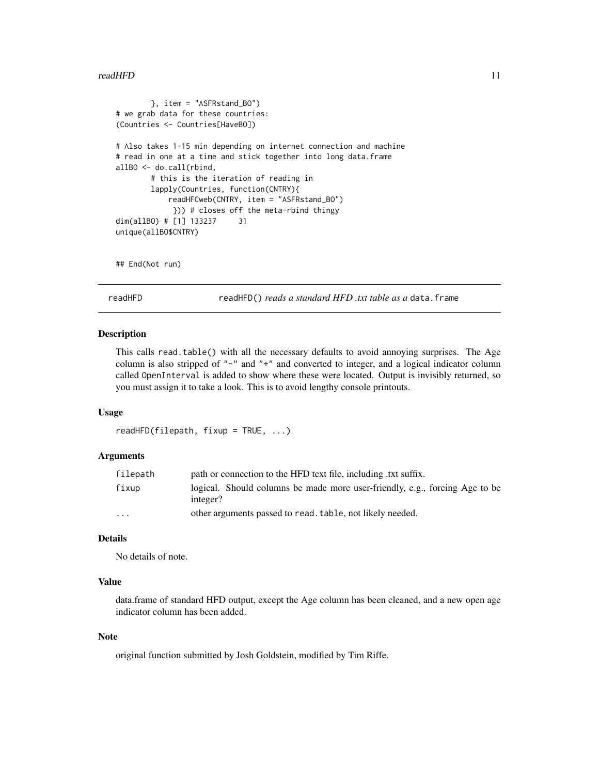#### <span id="page-10-0"></span>readHFD 11

```
}, item = "ASFRstand_BO")
# we grab data for these countries:
(Countries <- Countries[HaveBO])
# Also takes 1-15 min depending on internet connection and machine
# read in one at a time and stick together into long data.frame
allBO <- do.call(rbind,
       # this is the iteration of reading in
       lapply(Countries, function(CNTRY){
           readHFCweb(CNTRY, item = "ASFRstand_BO")
            })) # closes off the meta-rbind thingy
dim(allBO) # [1] 133237 31
unique(allBO$CNTRY)
```
## End(Not run)

readHFD readHFD() *reads a standard HFD .txt table as a* data.frame

#### Description

This calls read.table() with all the necessary defaults to avoid annoying surprises. The Age column is also stripped of "-" and "+" and converted to integer, and a logical indicator column called OpenInterval is added to show where these were located. Output is invisibly returned, so you must assign it to take a look. This is to avoid lengthy console printouts.

#### Usage

```
readHFD(filepath, fixup = TRUE, ...)
```
#### Arguments

| filepath                | path or connection to the HFD text file, including .txt suffix.                         |
|-------------------------|-----------------------------------------------------------------------------------------|
| fixup                   | logical. Should columns be made more user-friendly, e.g., forcing Age to be<br>integer? |
| $\cdot$ $\cdot$ $\cdot$ | other arguments passed to read, table, not likely needed.                               |

#### Details

No details of note.

#### Value

data.frame of standard HFD output, except the Age column has been cleaned, and a new open age indicator column has been added.

#### Note

original function submitted by Josh Goldstein, modified by Tim Riffe.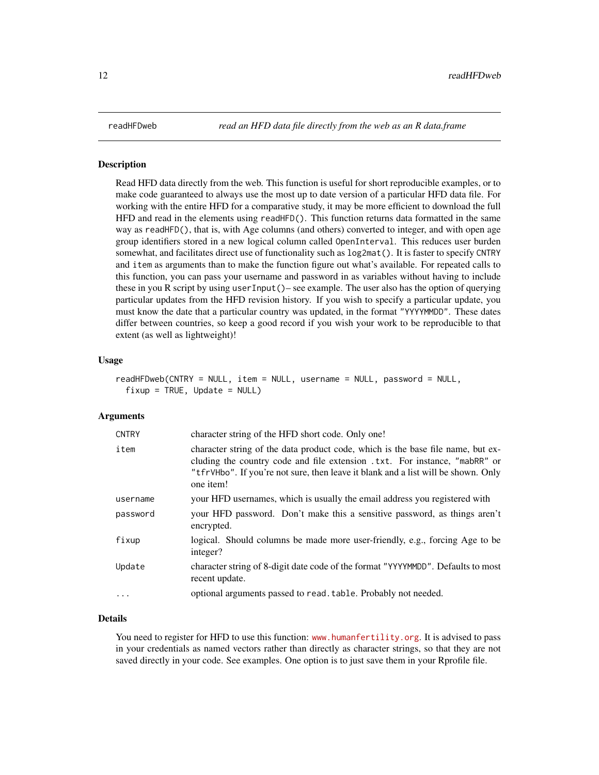#### <span id="page-11-0"></span>**Description**

Read HFD data directly from the web. This function is useful for short reproducible examples, or to make code guaranteed to always use the most up to date version of a particular HFD data file. For working with the entire HFD for a comparative study, it may be more efficient to download the full HFD and read in the elements using readHFD(). This function returns data formatted in the same way as readHFD(), that is, with Age columns (and others) converted to integer, and with open age group identifiers stored in a new logical column called OpenInterval. This reduces user burden somewhat, and facilitates direct use of functionality such as log2mat(). It is faster to specify CNTRY and item as arguments than to make the function figure out what's available. For repeated calls to this function, you can pass your username and password in as variables without having to include these in you R script by using userInput()– see example. The user also has the option of querying particular updates from the HFD revision history. If you wish to specify a particular update, you must know the date that a particular country was updated, in the format "YYYYMMDD". These dates differ between countries, so keep a good record if you wish your work to be reproducible to that extent (as well as lightweight)!

#### Usage

```
readHFDweb(CNTRY = NULL, item = NULL, username = NULL, password = NULL,
 fixup = TRUE, Update = NULL)
```
#### Arguments

| <b>CNTRY</b> | character string of the HFD short code. Only one!                                                                                                                                                                                                               |
|--------------|-----------------------------------------------------------------------------------------------------------------------------------------------------------------------------------------------------------------------------------------------------------------|
| item         | character string of the data product code, which is the base file name, but ex-<br>cluding the country code and file extension .txt. For instance, "mabRR" or<br>"tfrVHbo". If you're not sure, then leave it blank and a list will be shown. Only<br>one item! |
| username     | your HFD usernames, which is usually the email address you registered with                                                                                                                                                                                      |
| password     | your HFD password. Don't make this a sensitive password, as things aren't<br>encrypted.                                                                                                                                                                         |
| fixup        | logical. Should columns be made more user-friendly, e.g., forcing Age to be<br>integer?                                                                                                                                                                         |
| Update       | character string of 8-digit date code of the format "YYYYMMDD". Defaults to most<br>recent update.                                                                                                                                                              |
| .            | optional arguments passed to read. table. Probably not needed.                                                                                                                                                                                                  |
|              |                                                                                                                                                                                                                                                                 |

#### Details

You need to register for HFD to use this function: <www.humanfertility.org>. It is advised to pass in your credentials as named vectors rather than directly as character strings, so that they are not saved directly in your code. See examples. One option is to just save them in your Rprofile file.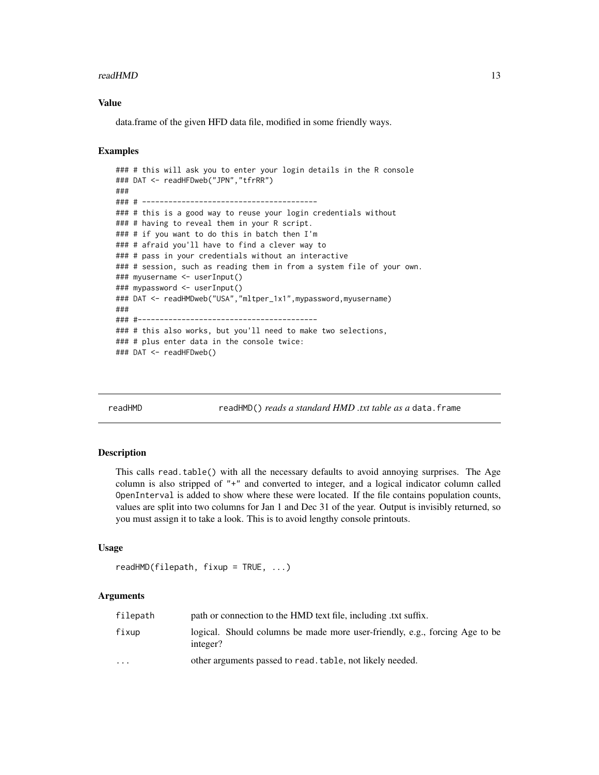#### <span id="page-12-0"></span>readHMD 13

#### Value

data.frame of the given HFD data file, modified in some friendly ways.

#### Examples

```
### # this will ask you to enter your login details in the R console
### DAT <- readHFDweb("JPN","tfrRR")
###
### # ----------------------------------------
### # this is a good way to reuse your login credentials without
### # having to reveal them in your R script.
### # if you want to do this in batch then I'm
### # afraid you'll have to find a clever way to
### # pass in your credentials without an interactive
### # session, such as reading them in from a system file of your own.
### myusername <- userInput()
### mypassword <- userInput()
### DAT <- readHMDweb("USA","mltper_1x1",mypassword,myusername)
###
### #-----------------------------------------
### # this also works, but you'll need to make two selections,
### # plus enter data in the console twice:
### DAT <- readHFDweb()
```
readHMD readHMD() *reads a standard HMD .txt table as a* data.frame

#### Description

This calls read.table() with all the necessary defaults to avoid annoying surprises. The Age column is also stripped of "+" and converted to integer, and a logical indicator column called OpenInterval is added to show where these were located. If the file contains population counts, values are split into two columns for Jan 1 and Dec 31 of the year. Output is invisibly returned, so you must assign it to take a look. This is to avoid lengthy console printouts.

#### Usage

```
readHMD(filepath, fixup = TRUE, ...)
```
#### Arguments

| filepath                | path or connection to the HMD text file, including .txt suffix.                         |
|-------------------------|-----------------------------------------------------------------------------------------|
| fixup                   | logical. Should columns be made more user-friendly, e.g., forcing Age to be<br>integer? |
| $\cdot$ $\cdot$ $\cdot$ | other arguments passed to read, table, not likely needed.                               |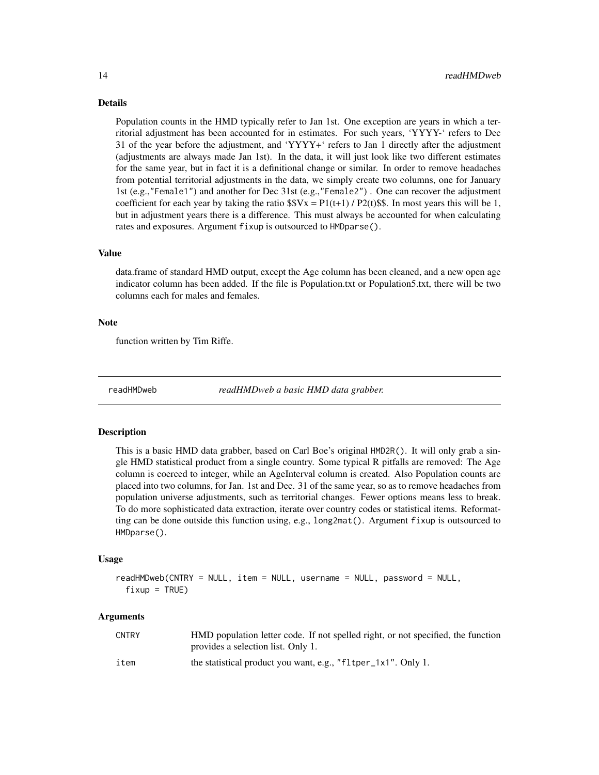#### Details

Population counts in the HMD typically refer to Jan 1st. One exception are years in which a territorial adjustment has been accounted for in estimates. For such years, 'YYYY-' refers to Dec 31 of the year before the adjustment, and 'YYYY+' refers to Jan 1 directly after the adjustment (adjustments are always made Jan 1st). In the data, it will just look like two different estimates for the same year, but in fact it is a definitional change or similar. In order to remove headaches from potential territorial adjustments in the data, we simply create two columns, one for January 1st (e.g.,"Female1") and another for Dec 31st (e.g.,"Female2") . One can recover the adjustment coefficient for each year by taking the ratio  $$Vx = P1(t+1) / P2(t)$ \$\$. In most years this will be 1, but in adjustment years there is a difference. This must always be accounted for when calculating rates and exposures. Argument fixup is outsourced to HMDparse().

#### Value

data.frame of standard HMD output, except the Age column has been cleaned, and a new open age indicator column has been added. If the file is Population.txt or Population5.txt, there will be two columns each for males and females.

#### Note

function written by Tim Riffe.

readHMDweb *readHMDweb a basic HMD data grabber.*

#### **Description**

This is a basic HMD data grabber, based on Carl Boe's original HMD2R(). It will only grab a single HMD statistical product from a single country. Some typical R pitfalls are removed: The Age column is coerced to integer, while an AgeInterval column is created. Also Population counts are placed into two columns, for Jan. 1st and Dec. 31 of the same year, so as to remove headaches from population universe adjustments, such as territorial changes. Fewer options means less to break. To do more sophisticated data extraction, iterate over country codes or statistical items. Reformatting can be done outside this function using, e.g., long2mat(). Argument fixup is outsourced to HMDparse().

#### Usage

```
readHMDweb(CNTRY = NULL, item = NULL, username = NULL, password = NULL,
 fixup = TRUE)
```
#### Arguments

| <b>CNTRY</b> | HMD population letter code. If not spelled right, or not specified, the function<br>provides a selection list. Only 1. |
|--------------|------------------------------------------------------------------------------------------------------------------------|
| item         | the statistical product you want, e.g., "fltper_1x1". Only 1.                                                          |

<span id="page-13-0"></span>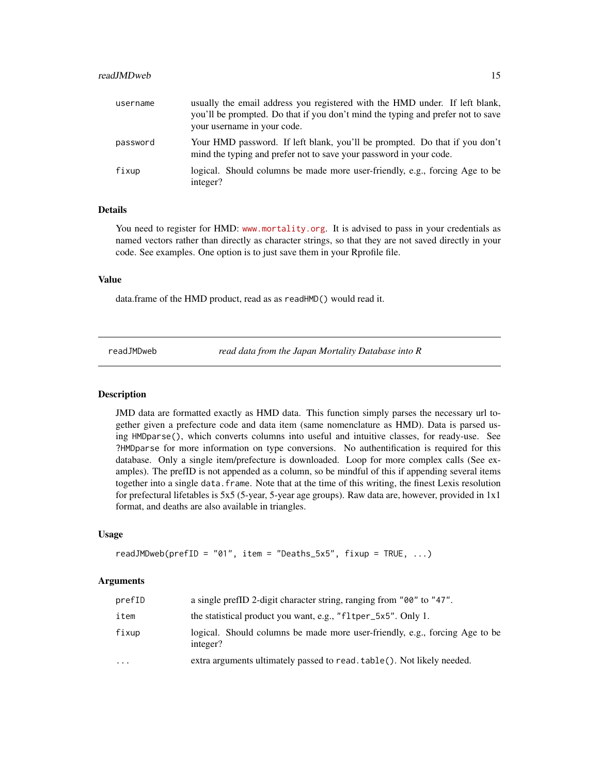#### <span id="page-14-0"></span>readJMDweb 15

| username | usually the email address you registered with the HMD under. If left blank,<br>you'll be prompted. Do that if you don't mind the typing and prefer not to save<br>your username in your code. |
|----------|-----------------------------------------------------------------------------------------------------------------------------------------------------------------------------------------------|
| password | Your HMD password. If left blank, you'll be prompted. Do that if you don't<br>mind the typing and prefer not to save your password in your code.                                              |
| fixup    | logical. Should columns be made more user-friendly, e.g., forcing Age to be<br>integer?                                                                                                       |

#### Details

You need to register for HMD: <www.mortality.org>. It is advised to pass in your credentials as named vectors rather than directly as character strings, so that they are not saved directly in your code. See examples. One option is to just save them in your Rprofile file.

#### Value

data.frame of the HMD product, read as as readHMD() would read it.

readJMDweb *read data from the Japan Mortality Database into R*

#### Description

JMD data are formatted exactly as HMD data. This function simply parses the necessary url together given a prefecture code and data item (same nomenclature as HMD). Data is parsed using HMDparse(), which converts columns into useful and intuitive classes, for ready-use. See ?HMDparse for more information on type conversions. No authentification is required for this database. Only a single item/prefecture is downloaded. Loop for more complex calls (See examples). The prefID is not appended as a column, so be mindful of this if appending several items together into a single data.frame. Note that at the time of this writing, the finest Lexis resolution for prefectural lifetables is 5x5 (5-year, 5-year age groups). Raw data are, however, provided in 1x1 format, and deaths are also available in triangles.

#### Usage

```
readJMDweb(prefID = "01", item = "Deaths_5x5", fixup = TRUE, \ldots)
```
#### Arguments

| prefID    | a single prefID 2-digit character string, ranging from "00" to "47".                    |
|-----------|-----------------------------------------------------------------------------------------|
| item      | the statistical product you want, e.g., "fltper_5x5". Only 1.                           |
| fixup     | logical. Should columns be made more user-friendly, e.g., forcing Age to be<br>integer? |
| $\ddotsc$ | extra arguments ultimately passed to read. table(). Not likely needed.                  |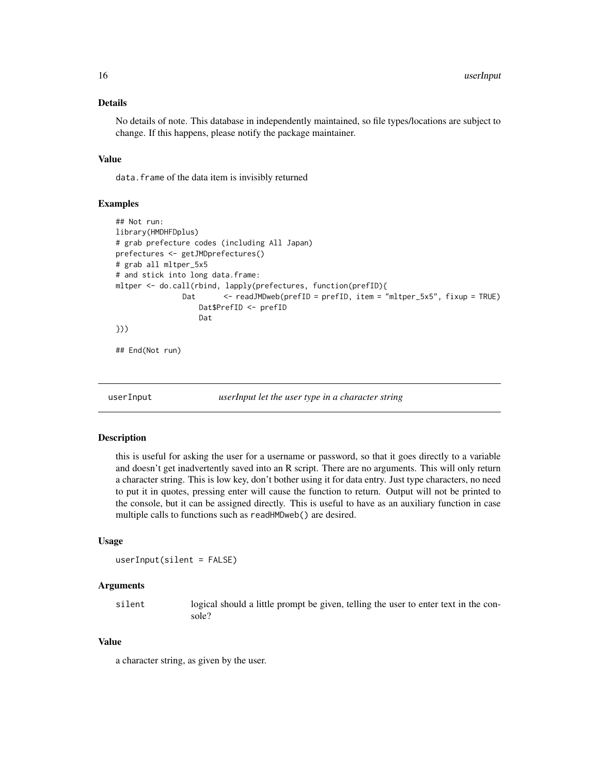#### <span id="page-15-0"></span>Details

No details of note. This database in independently maintained, so file types/locations are subject to change. If this happens, please notify the package maintainer.

#### Value

data.frame of the data item is invisibly returned

#### Examples

```
## Not run:
library(HMDHFDplus)
# grab prefecture codes (including All Japan)
prefectures <- getJMDprefectures()
# grab all mltper_5x5
# and stick into long data.frame:
mltper <- do.call(rbind, lapply(prefectures, function(prefID){
               Dat <- readJMDweb(prefID = prefID, item = "mltper_5x5", fixup = TRUE)
                   Dat$PrefID <- prefID
                   Dat
}))
## End(Not run)
```
userInput *userInput let the user type in a character string*

#### **Description**

this is useful for asking the user for a username or password, so that it goes directly to a variable and doesn't get inadvertently saved into an R script. There are no arguments. This will only return a character string. This is low key, don't bother using it for data entry. Just type characters, no need to put it in quotes, pressing enter will cause the function to return. Output will not be printed to the console, but it can be assigned directly. This is useful to have as an auxiliary function in case multiple calls to functions such as readHMDweb() are desired.

#### Usage

```
userInput(silent = FALSE)
```
#### Arguments

silent logical should a little prompt be given, telling the user to enter text in the console?

#### Value

a character string, as given by the user.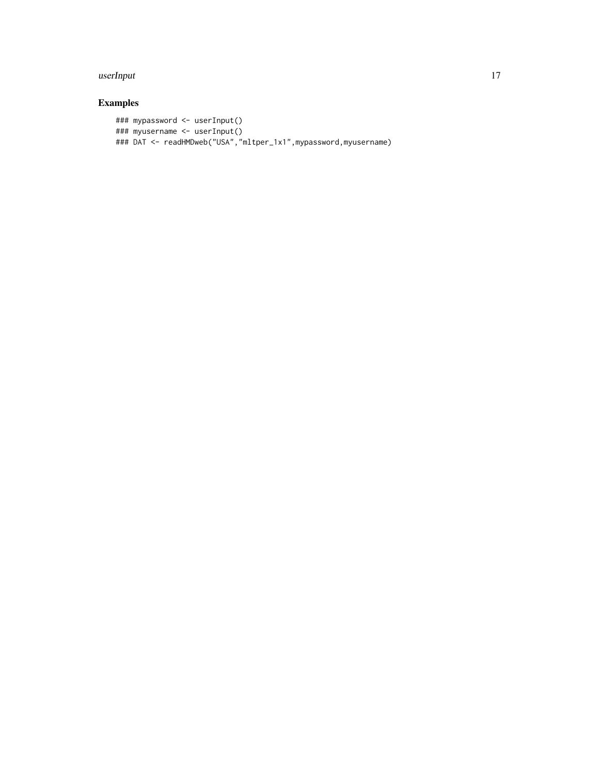#### userInput 17

## Examples

```
### mypassword <- userInput()
### myusername <- userInput()
### DAT <- readHMDweb("USA","mltper_1x1",mypassword,myusername)
```